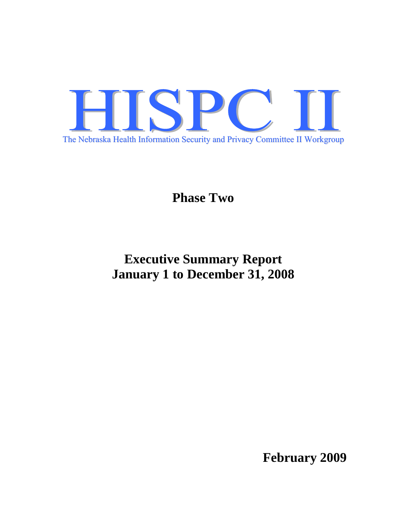

**Phase Two** 

# **Executive Summary Report January 1 to December 31, 2008**

**February 2009**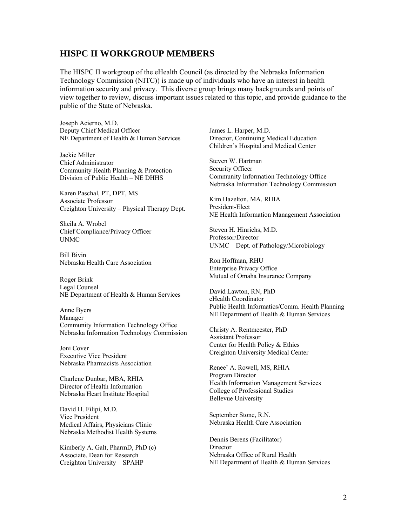# **HISPC II WORKGROUP MEMBERS**

The HISPC II workgroup of the eHealth Council (as directed by the Nebraska Information Technology Commission (NITC)) is made up of individuals who have an interest in health information security and privacy. This diverse group brings many backgrounds and points of view together to review, discuss important issues related to this topic, and provide guidance to the public of the State of Nebraska.

Joseph Acierno, M.D. Deputy Chief Medical Officer NE Department of Health & Human Services

Jackie Miller Chief Administrator Community Health Planning & Protection Division of Public Health – NE DHHS

Karen Paschal, PT, DPT, MS Associate Professor Creighton University – Physical Therapy Dept.

Sheila A. Wrobel Chief Compliance/Privacy Officer UNMC

Bill Bivin Nebraska Health Care Association

Roger Brink Legal Counsel NE Department of Health & Human Services

Anne Byers Manager Community Information Technology Office Nebraska Information Technology Commission

Joni Cover Executive Vice President Nebraska Pharmacists Association

Charlene Dunbar, MBA, RHIA Director of Health Information Nebraska Heart Institute Hospital

David H. Filipi, M.D. Vice President Medical Affairs, Physicians Clinic Nebraska Methodist Health Systems

Kimberly A. Galt, PharmD, PhD (c) Associate. Dean for Research Creighton University – SPAHP

James L. Harper, M.D. Director, Continuing Medical Education Children's Hospital and Medical Center

Steven W. Hartman Security Officer Community Information Technology Office Nebraska Information Technology Commission

Kim Hazelton, MA, RHIA President-Elect NE Health Information Management Association

Steven H. Hinrichs, M.D. Professor/Director UNMC – Dept. of Pathology/Microbiology

Ron Hoffman, RHU Enterprise Privacy Office Mutual of Omaha Insurance Company

David Lawton, RN, PhD eHealth Coordinator Public Health Informatics/Comm. Health Planning NE Department of Health & Human Services

Christy A. Rentmeester, PhD Assistant Professor Center for Health Policy & Ethics Creighton University Medical Center

Renee' A. Rowell, MS, RHIA Program Director Health Information Management Services College of Professional Studies Bellevue University

September Stone, R.N. Nebraska Health Care Association

Dennis Berens (Facilitator) **Director** Nebraska Office of Rural Health NE Department of Health & Human Services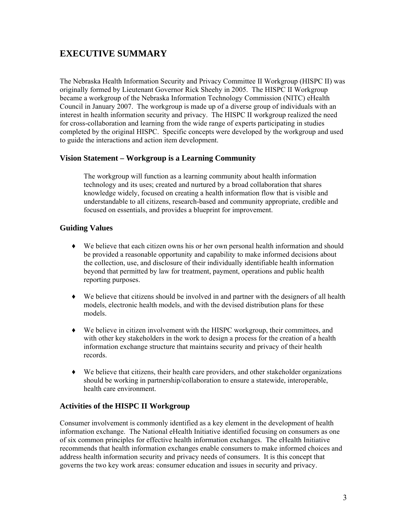# **EXECUTIVE SUMMARY**

The Nebraska Health Information Security and Privacy Committee II Workgroup (HISPC II) was originally formed by Lieutenant Governor Rick Sheehy in 2005. The HISPC II Workgroup became a workgroup of the Nebraska Information Technology Commission (NITC) eHealth Council in January 2007. The workgroup is made up of a diverse group of individuals with an interest in health information security and privacy. The HISPC II workgroup realized the need for cross-collaboration and learning from the wide range of experts participating in studies completed by the original HISPC. Specific concepts were developed by the workgroup and used to guide the interactions and action item development.

# **Vision Statement – Workgroup is a Learning Community**

The workgroup will function as a learning community about health information technology and its uses; created and nurtured by a broad collaboration that shares knowledge widely, focused on creating a health information flow that is visible and understandable to all citizens, research-based and community appropriate, credible and focused on essentials, and provides a blueprint for improvement.

# **Guiding Values**

- ♦ We believe that each citizen owns his or her own personal health information and should be provided a reasonable opportunity and capability to make informed decisions about the collection, use, and disclosure of their individually identifiable health information beyond that permitted by law for treatment, payment, operations and public health reporting purposes.
- ♦ We believe that citizens should be involved in and partner with the designers of all health models, electronic health models, and with the devised distribution plans for these models.
- ♦ We believe in citizen involvement with the HISPC workgroup, their committees, and with other key stakeholders in the work to design a process for the creation of a health information exchange structure that maintains security and privacy of their health records.
- ♦ We believe that citizens, their health care providers, and other stakeholder organizations should be working in partnership/collaboration to ensure a statewide, interoperable, health care environment.

# **Activities of the HISPC II Workgroup**

Consumer involvement is commonly identified as a key element in the development of health information exchange. The National eHealth Initiative identified focusing on consumers as one of six common principles for effective health information exchanges. The eHealth Initiative recommends that health information exchanges enable consumers to make informed choices and address health information security and privacy needs of consumers. It is this concept that governs the two key work areas: consumer education and issues in security and privacy.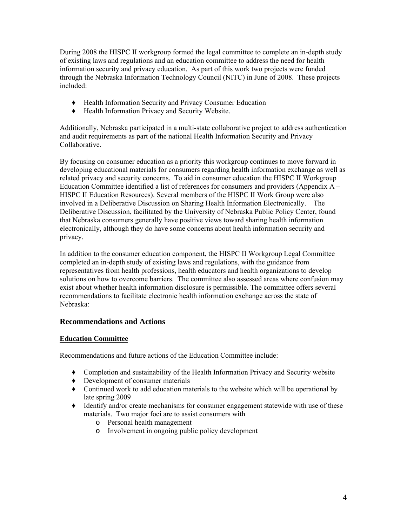During 2008 the HISPC II workgroup formed the legal committee to complete an in-depth study of existing laws and regulations and an education committee to address the need for health information security and privacy education. As part of this work two projects were funded through the Nebraska Information Technology Council (NITC) in June of 2008. These projects included:

- ♦ Health Information Security and Privacy Consumer Education
- ♦ Health Information Privacy and Security Website.

Additionally, Nebraska participated in a multi-state collaborative project to address authentication and audit requirements as part of the national Health Information Security and Privacy Collaborative.

By focusing on consumer education as a priority this workgroup continues to move forward in developing educational materials for consumers regarding health information exchange as well as related privacy and security concerns. To aid in consumer education the HISPC II Workgroup Education Committee identified a list of references for consumers and providers (Appendix A – HISPC II Education Resources). Several members of the HISPC II Work Group were also involved in a Deliberative Discussion on Sharing Health Information Electronically. The Deliberative Discussion, facilitated by the University of Nebraska Public Policy Center, found that Nebraska consumers generally have positive views toward sharing health information electronically, although they do have some concerns about health information security and privacy.

In addition to the consumer education component, the HISPC II Workgroup Legal Committee completed an in-depth study of existing laws and regulations, with the guidance from representatives from health professions, health educators and health organizations to develop solutions on how to overcome barriers. The committee also assessed areas where confusion may exist about whether health information disclosure is permissible. The committee offers several recommendations to facilitate electronic health information exchange across the state of Nebraska:

# **Recommendations and Actions**

# **Education Committee**

Recommendations and future actions of the Education Committee include:

- ♦ Completion and sustainability of the Health Information Privacy and Security website
- ♦ Development of consumer materials
- ♦ Continued work to add education materials to the website which will be operational by late spring 2009
- ♦ Identify and/or create mechanisms for consumer engagement statewide with use of these materials. Two major foci are to assist consumers with
	- o Personal health management
	- o Involvement in ongoing public policy development